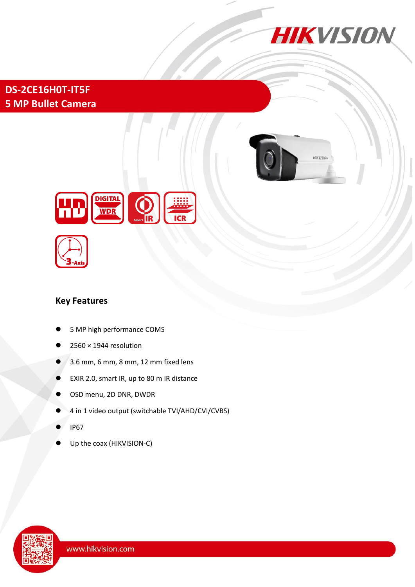

**DS-2CE16H0T-IT5F 5 MP Bullet Camera**







### **Key Features**

- 5 MP high performance COMS
- 2560 × 1944 resolution
- 3.6 mm, 6 mm, 8 mm, 12 mm fixed lens
- EXIR 2.0, smart IR, up to 80 m IR distance
- OSD menu, 2D DNR, DWDR
- 4 in 1 video output (switchable TVI/AHD/CVI/CVBS)
- IP67
- Up the coax (HIKVISION-C)

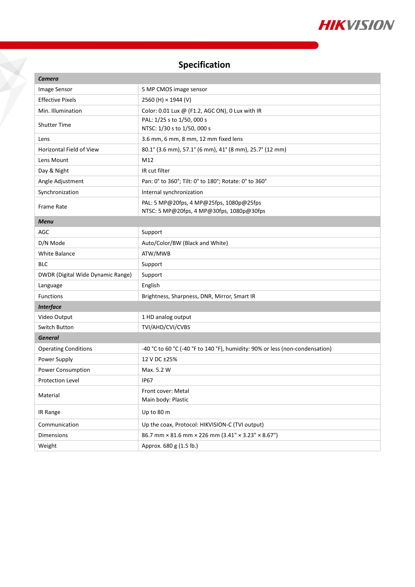

# **Specification**

X

| <b>Camera</b>                     |                                                                                       |
|-----------------------------------|---------------------------------------------------------------------------------------|
| Image Sensor                      | 5 MP CMOS image sensor                                                                |
| <b>Effective Pixels</b>           | 2560 (H) × 1944 (V)                                                                   |
| Min. Illumination                 | Color: 0.01 Lux @ (F1.2, AGC ON), 0 Lux with IR                                       |
| <b>Shutter Time</b>               | PAL: 1/25 s to 1/50, 000 s                                                            |
|                                   | NTSC: 1/30 s to 1/50, 000 s                                                           |
| Lens                              | 3.6 mm, 6 mm, 8 mm, 12 mm fixed lens                                                  |
| <b>Horizontal Field of View</b>   | 80.1° (3.6 mm), 57.1° (6 mm), 41° (8 mm), 25.7° (12 mm)                               |
| Lens Mount                        | M12                                                                                   |
| Day & Night                       | IR cut filter                                                                         |
| Angle Adjustment                  | Pan: 0° to 360°; Tilt: 0° to 180°; Rotate: 0° to 360°                                 |
| Synchronization                   | Internal synchronization                                                              |
| <b>Frame Rate</b>                 | PAL: 5 MP@20fps, 4 MP@25fps, 1080p@25fps<br>NTSC: 5 MP@20fps, 4 MP@30fps, 1080p@30fps |
| <b>Menu</b>                       |                                                                                       |
| AGC                               | Support                                                                               |
| D/N Mode                          | Auto/Color/BW (Black and White)                                                       |
| <b>White Balance</b>              | ATW/MWB                                                                               |
| <b>BLC</b>                        | Support                                                                               |
| DWDR (Digital Wide Dynamic Range) | Support                                                                               |
| Language                          | English                                                                               |
| <b>Functions</b>                  | Brightness, Sharpness, DNR, Mirror, Smart IR                                          |
| <b>Interface</b>                  |                                                                                       |
| Video Output                      | 1 HD analog output                                                                    |
| Switch Button                     | TVI/AHD/CVI/CVBS                                                                      |
| <b>General</b>                    |                                                                                       |
| <b>Operating Conditions</b>       | -40 °C to 60 °C (-40 °F to 140 °F), humidity: 90% or less (non-condensation)          |
| Power Supply                      | 12 V DC ±25%                                                                          |
| Power Consumption                 | Max. 5.2 W                                                                            |
| <b>Protection Level</b>           | <b>IP67</b>                                                                           |
| Material                          | Front cover: Metal<br>Main body: Plastic                                              |
| IR Range                          | Up to 80 m                                                                            |
| Communication                     | Up the coax, Protocol: HIKVISION-C (TVI output)                                       |
| <b>Dimensions</b>                 | 86.7 mm $\times$ 81.6 mm $\times$ 226 mm (3.41" $\times$ 3.23" $\times$ 8.67")        |
| Weight                            | Approx. 680 g (1.5 lb.)                                                               |